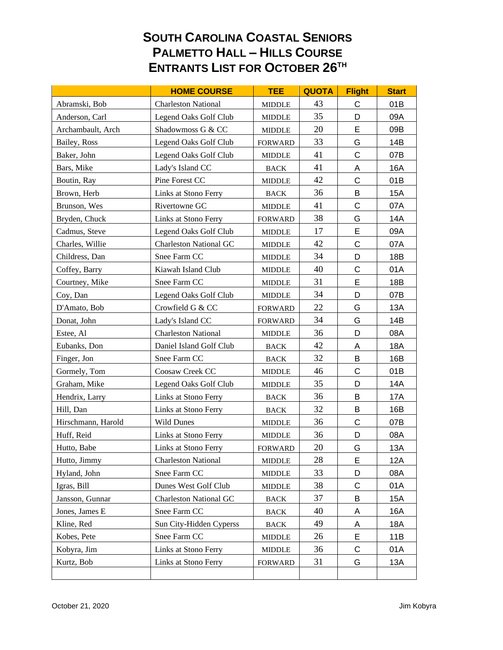## **SOUTH CAROLINA COASTAL SENIORS PALMETTO HALL – HILLS COURSE ENTRANTS LIST FOR OCTOBER 26TH**

|                    | <b>HOME COURSE</b>            | <b>TEE</b>                      | <b>QUOTA</b> | <b>Flight</b> | <b>Start</b> |
|--------------------|-------------------------------|---------------------------------|--------------|---------------|--------------|
| Abramski, Bob      | <b>Charleston National</b>    | <b>MIDDLE</b>                   | 43           | C             | 01B          |
| Anderson, Carl     | Legend Oaks Golf Club         | <b>MIDDLE</b>                   | 35           | D             | 09A          |
| Archambault, Arch  | Shadowmoss G & CC             | <b>MIDDLE</b>                   | 20           | E             | 09B          |
| Bailey, Ross       | Legend Oaks Golf Club         | <b>FORWARD</b>                  | 33           | G             | 14B          |
| Baker, John        | Legend Oaks Golf Club         | <b>MIDDLE</b>                   | 41           | C             | 07B          |
| Bars, Mike         | Lady's Island CC              | <b>BACK</b>                     | 41           | Α             | <b>16A</b>   |
| Boutin, Ray        | Pine Forest CC                | <b>MIDDLE</b>                   | 42           | C             | 01B          |
| Brown, Herb        | Links at Stono Ferry          | <b>BACK</b>                     | 36           | B             | 15A          |
| Brunson, Wes       | Rivertowne GC                 | <b>MIDDLE</b>                   | 41           | C             | 07A          |
| Bryden, Chuck      | Links at Stono Ferry          | <b>FORWARD</b>                  | 38           | G             | 14A          |
| Cadmus, Steve      | Legend Oaks Golf Club         | <b>MIDDLE</b>                   | 17           | E             | 09A          |
| Charles, Willie    | <b>Charleston National GC</b> | <b>MIDDLE</b>                   | 42           | $\mathsf C$   | 07A          |
| Childress, Dan     | Snee Farm CC                  | <b>MIDDLE</b>                   | 34           | D             | 18B          |
| Coffey, Barry      | Kiawah Island Club            | <b>MIDDLE</b>                   | 40           | $\mathsf C$   | 01A          |
| Courtney, Mike     | Snee Farm CC                  | <b>MIDDLE</b>                   | 31           | E             | 18B          |
| Coy, Dan           | Legend Oaks Golf Club         | <b>MIDDLE</b>                   | 34           | D             | 07B          |
| D'Amato, Bob       | Crowfield G & CC              | <b>FORWARD</b>                  | 22           | G             | 13A          |
| Donat, John        | Lady's Island CC              | <b>FORWARD</b>                  | 34           | G             | 14B          |
| Estee, Al          | <b>Charleston National</b>    | <b>MIDDLE</b>                   | 36           | D             | 08A          |
| Eubanks, Don       | Daniel Island Golf Club       | <b>BACK</b>                     | 42           | Α             | 18A          |
| Finger, Jon        | Snee Farm CC                  | <b>BACK</b>                     | 32           | B             | 16B          |
| Gormely, Tom       | Coosaw Creek CC               | <b>MIDDLE</b>                   | 46           | C             | 01B          |
| Graham, Mike       | Legend Oaks Golf Club         | <b>MIDDLE</b>                   | 35           | D             | 14A          |
| Hendrix, Larry     | Links at Stono Ferry          | <b>BACK</b>                     | 36           | B             | 17A          |
| Hill, Dan          | Links at Stono Ferry          | <b>BACK</b>                     | 32           | В             | 16B          |
| Hirschmann, Harold | <b>Wild Dunes</b>             | <b>MIDDLE</b>                   | 36           | $\mathsf C$   | 07B          |
| Huff, Reid         | Links at Stono Ferry          | <b>MIDDLE</b>                   | 36           | D             | 08A          |
| Hutto, Babe        | Links at Stono Ferry          | <b>FORWARD</b>                  | 20           | G             | 13A          |
| Hutto, Jimmy       | <b>Charleston National</b>    | <b>MIDDLE</b>                   | 28           | E             | 12A          |
| Hyland, John       | Snee Farm CC                  | <b>MIDDLE</b>                   | 33           | D             | 08A          |
| Igras, Bill        | Dunes West Golf Club          | <b>MIDDLE</b>                   | 38           | C             | 01A          |
| Jansson, Gunnar    | <b>Charleston National GC</b> | <b>BACK</b>                     | 37           | B             | <b>15A</b>   |
| Jones, James E     | Snee Farm CC                  | $_{\mbox{\footnotesize{BACK}}}$ | 40           | A             | 16A          |
| Kline, Red         | Sun City-Hidden Cyperss       | <b>BACK</b>                     | 49           | A             | 18A          |
| Kobes, Pete        | Snee Farm CC                  | <b>MIDDLE</b>                   | 26           | E             | 11B          |
| Kobyra, Jim        | Links at Stono Ferry          | <b>MIDDLE</b>                   | 36           | C             | 01A          |
| Kurtz, Bob         | Links at Stono Ferry          | <b>FORWARD</b>                  | 31           | G             | 13A          |
|                    |                               |                                 |              |               |              |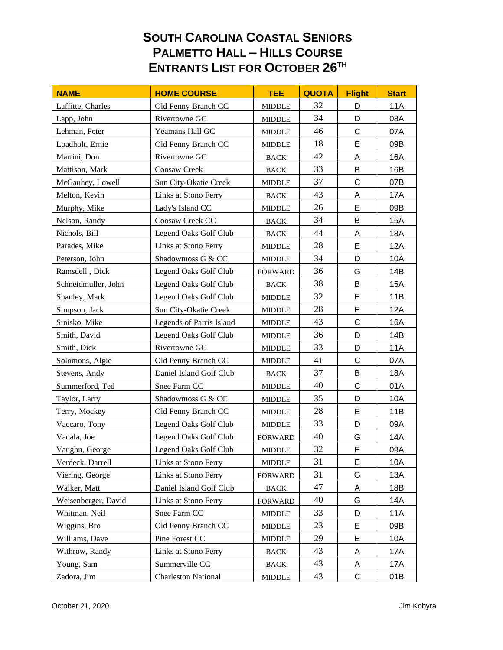## **SOUTH CAROLINA COASTAL SENIORS PALMETTO HALL – HILLS COURSE ENTRANTS LIST FOR OCTOBER 26TH**

| <b>NAME</b>         | <b>HOME COURSE</b>         | <b>TEE</b>     | <b>QUOTA</b> | <b>Flight</b> | <b>Start</b> |
|---------------------|----------------------------|----------------|--------------|---------------|--------------|
| Laffitte, Charles   | Old Penny Branch CC        | <b>MIDDLE</b>  | 32           | D             | <b>11A</b>   |
| Lapp, John          | Rivertowne GC              | <b>MIDDLE</b>  | 34           | D             | 08A          |
| Lehman, Peter       | Yeamans Hall GC            | <b>MIDDLE</b>  | 46           | C             | 07A          |
| Loadholt, Ernie     | Old Penny Branch CC        | <b>MIDDLE</b>  | 18           | E             | 09B          |
| Martini, Don        | Rivertowne GC              | <b>BACK</b>    | 42           | Α             | 16A          |
| Mattison, Mark      | Coosaw Creek               | <b>BACK</b>    | 33           | B             | 16B          |
| McGauhey, Lowell    | Sun City-Okatie Creek      | <b>MIDDLE</b>  | 37           | $\mathsf C$   | 07B          |
| Melton, Kevin       | Links at Stono Ferry       | <b>BACK</b>    | 43           | A             | 17A          |
| Murphy, Mike        | Lady's Island CC           | <b>MIDDLE</b>  | 26           | E             | 09B          |
| Nelson, Randy       | Coosaw Creek CC            | <b>BACK</b>    | 34           | B             | 15A          |
| Nichols, Bill       | Legend Oaks Golf Club      | <b>BACK</b>    | 44           | Α             | 18A          |
| Parades, Mike       | Links at Stono Ferry       | <b>MIDDLE</b>  | 28           | E             | 12A          |
| Peterson, John      | Shadowmoss G & CC          | <b>MIDDLE</b>  | 34           | D             | 10A          |
| Ramsdell, Dick      | Legend Oaks Golf Club      | <b>FORWARD</b> | 36           | G             | 14B          |
| Schneidmuller, John | Legend Oaks Golf Club      | <b>BACK</b>    | 38           | B             | 15A          |
| Shanley, Mark       | Legend Oaks Golf Club      | <b>MIDDLE</b>  | 32           | E             | 11B          |
| Simpson, Jack       | Sun City-Okatie Creek      | <b>MIDDLE</b>  | 28           | E             | <b>12A</b>   |
| Sinisko, Mike       | Legends of Parris Island   | <b>MIDDLE</b>  | 43           | $\mathsf C$   | <b>16A</b>   |
| Smith, David        | Legend Oaks Golf Club      | <b>MIDDLE</b>  | 36           | D             | 14B          |
| Smith, Dick         | Rivertowne GC              | <b>MIDDLE</b>  | 33           | D             | 11A          |
| Solomons, Algie     | Old Penny Branch CC        | <b>MIDDLE</b>  | 41           | $\mathsf{C}$  | 07A          |
| Stevens, Andy       | Daniel Island Golf Club    | <b>BACK</b>    | 37           | B             | 18A          |
| Summerford, Ted     | Snee Farm CC               | <b>MIDDLE</b>  | 40           | $\mathsf C$   | 01A          |
| Taylor, Larry       | Shadowmoss G & CC          | <b>MIDDLE</b>  | 35           | D             | 10A          |
| Terry, Mockey       | Old Penny Branch CC        | <b>MIDDLE</b>  | 28           | E             | 11B          |
| Vaccaro, Tony       | Legend Oaks Golf Club      | <b>MIDDLE</b>  | 33           | D             | 09A          |
| Vadala, Joe         | Legend Oaks Golf Club      | <b>FORWARD</b> | 40           | G             | 14A          |
| Vaughn, George      | Legend Oaks Golf Club      | <b>MIDDLE</b>  | 32           | E             | 09A          |
| Verdeck, Darrell    | Links at Stono Ferry       | <b>MIDDLE</b>  | 31           | E             | 10A          |
| Viering, George     | Links at Stono Ferry       | <b>FORWARD</b> | 31           | G             | 13A          |
| Walker, Matt        | Daniel Island Golf Club    | <b>BACK</b>    | 47           | A             | 18B          |
| Weisenberger, David | Links at Stono Ferry       | <b>FORWARD</b> | 40           | G             | 14A          |
| Whitman, Neil       | Snee Farm CC               | <b>MIDDLE</b>  | 33           | D             | 11A          |
| Wiggins, Bro        | Old Penny Branch CC        | <b>MIDDLE</b>  | 23           | Е             | 09B          |
| Williams, Dave      | Pine Forest CC             | <b>MIDDLE</b>  | 29           | E             | 10A          |
| Withrow, Randy      | Links at Stono Ferry       | <b>BACK</b>    | 43           | A             | 17A          |
| Young, Sam          | Summerville CC             | <b>BACK</b>    | 43           | A             | 17A          |
| Zadora, Jim         | <b>Charleston National</b> | <b>MIDDLE</b>  | 43           | $\mathsf{C}$  | 01B          |